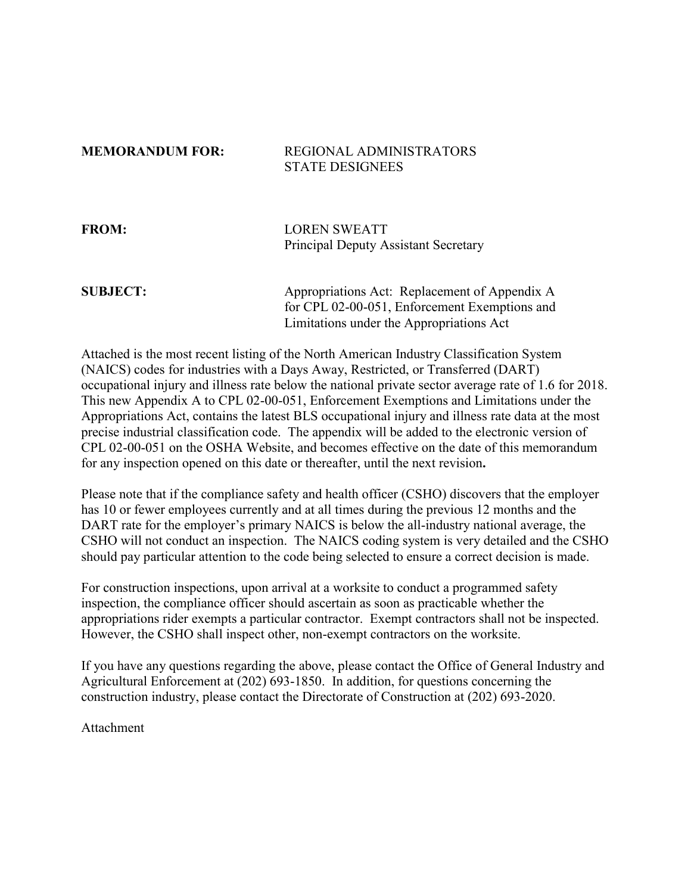## **MEMORANDUM FOR: REGIONAL ADMINISTRATORS** STATE DESIGNEES

## **FROM:** LOREN SWEATT Principal Deputy Assistant Secretary

## **SUBJECT:** Appropriations Act: Replacement of Appendix A for CPL 02-00-051, Enforcement Exemptions and Limitations under the Appropriations Act

Attached is the most recent listing of the North American Industry Classification System (NAICS) codes for industries with a Days Away, Restricted, or Transferred (DART) occupational injury and illness rate below the national private sector average rate of 1.6 for 2018. This new Appendix A to CPL 02-00-051, Enforcement Exemptions and Limitations under the Appropriations Act, contains the latest BLS occupational injury and illness rate data at the most precise industrial classification code. The appendix will be added to the electronic version of CPL 02-00-051 on the OSHA Website, and becomes effective on the date of this memorandum for any inspection opened on this date or thereafter, until the next revision**.**

Please note that if the compliance safety and health officer (CSHO) discovers that the employer has 10 or fewer employees currently and at all times during the previous 12 months and the DART rate for the employer's primary NAICS is below the all-industry national average, the CSHO will not conduct an inspection. The NAICS coding system is very detailed and the CSHO should pay particular attention to the code being selected to ensure a correct decision is made.

For construction inspections, upon arrival at a worksite to conduct a programmed safety inspection, the compliance officer should ascertain as soon as practicable whether the appropriations rider exempts a particular contractor. Exempt contractors shall not be inspected. However, the CSHO shall inspect other, non-exempt contractors on the worksite.

If you have any questions regarding the above, please contact the Office of General Industry and Agricultural Enforcement at (202) 693-1850. In addition, for questions concerning the construction industry, please contact the Directorate of Construction at (202) 693-2020.

Attachment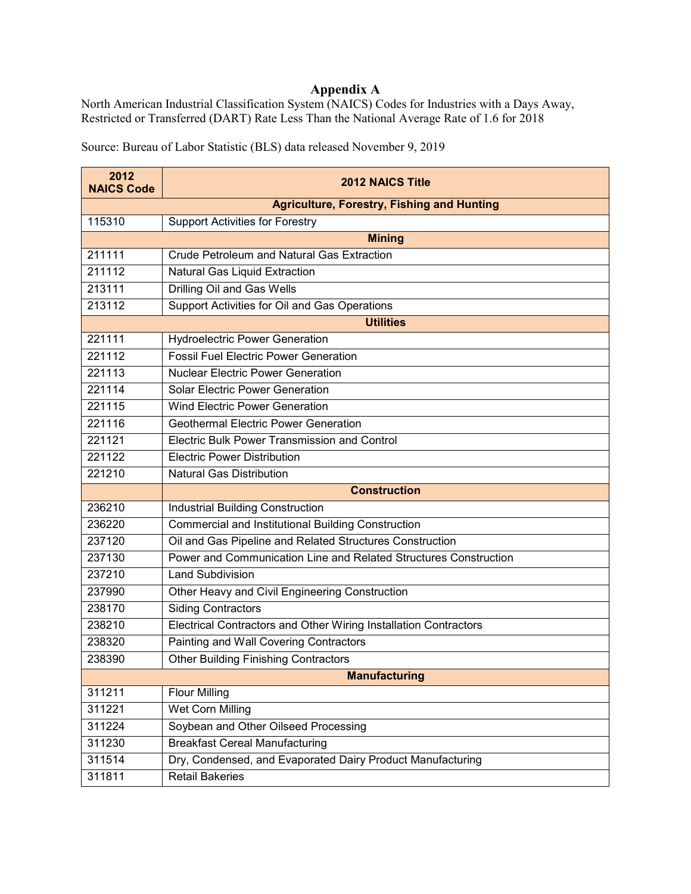## **Appendix A**

North American Industrial Classification System (NAICS) Codes for Industries with a Days Away, Restricted or Transferred (DART) Rate Less Than the National Average Rate of 1.6 for 2018

Source: Bureau of Labor Statistic (BLS) data released November 9, 2019

| 2012<br><b>NAICS Code</b> | <b>2012 NAICS Title</b>                                          |
|---------------------------|------------------------------------------------------------------|
|                           | <b>Agriculture, Forestry, Fishing and Hunting</b>                |
| 115310                    | <b>Support Activities for Forestry</b>                           |
|                           | <b>Mining</b>                                                    |
| 211111                    | <b>Crude Petroleum and Natural Gas Extraction</b>                |
| 211112                    | Natural Gas Liquid Extraction                                    |
| 213111                    | Drilling Oil and Gas Wells                                       |
| 213112                    | Support Activities for Oil and Gas Operations                    |
|                           | <b>Utilities</b>                                                 |
| 221111                    | <b>Hydroelectric Power Generation</b>                            |
| 221112                    | <b>Fossil Fuel Electric Power Generation</b>                     |
| 221113                    | <b>Nuclear Electric Power Generation</b>                         |
| 221114                    | <b>Solar Electric Power Generation</b>                           |
| 221115                    | <b>Wind Electric Power Generation</b>                            |
| 221116                    | <b>Geothermal Electric Power Generation</b>                      |
| 221121                    | Electric Bulk Power Transmission and Control                     |
| 221122                    | <b>Electric Power Distribution</b>                               |
| 221210                    | <b>Natural Gas Distribution</b>                                  |
|                           | <b>Construction</b>                                              |
| 236210                    | <b>Industrial Building Construction</b>                          |
| 236220                    | <b>Commercial and Institutional Building Construction</b>        |
| 237120                    | Oil and Gas Pipeline and Related Structures Construction         |
| 237130                    | Power and Communication Line and Related Structures Construction |
| 237210                    | <b>Land Subdivision</b>                                          |
| 237990                    | Other Heavy and Civil Engineering Construction                   |
| 238170                    | <b>Siding Contractors</b>                                        |
| 238210                    | Electrical Contractors and Other Wiring Installation Contractors |
| 238320                    | Painting and Wall Covering Contractors                           |
| 238390                    | <b>Other Building Finishing Contractors</b>                      |
| <b>Manufacturing</b>      |                                                                  |
| 311211                    | <b>Flour Milling</b>                                             |
| 311221                    | <b>Wet Corn Milling</b>                                          |
| 311224                    | Soybean and Other Oilseed Processing                             |
| 311230                    | <b>Breakfast Cereal Manufacturing</b>                            |
| 311514                    | Dry, Condensed, and Evaporated Dairy Product Manufacturing       |
| 311811                    | <b>Retail Bakeries</b>                                           |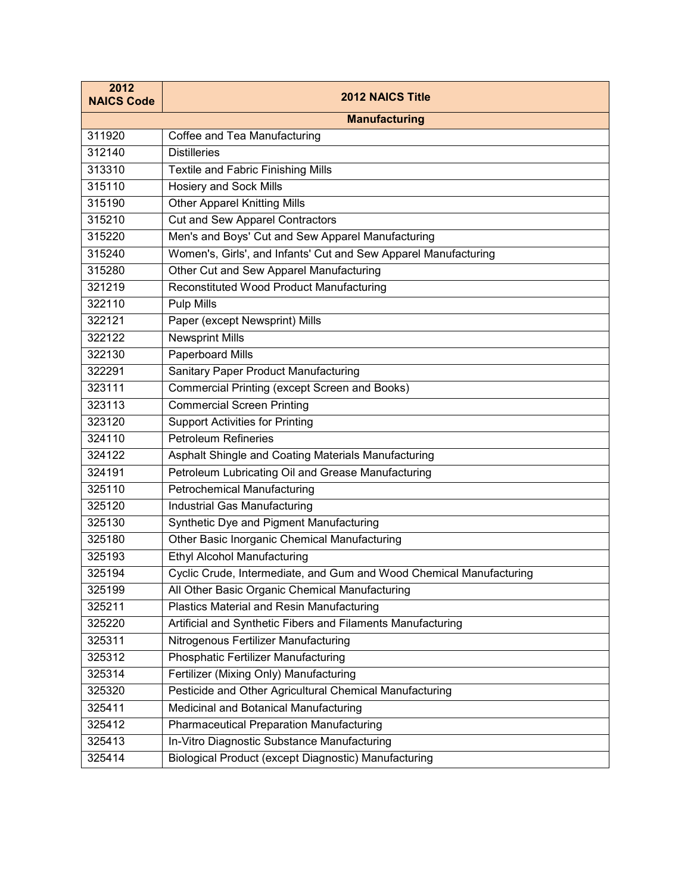| 2012<br><b>NAICS Code</b> | <b>2012 NAICS Title</b>                                             |
|---------------------------|---------------------------------------------------------------------|
|                           | <b>Manufacturing</b>                                                |
| 311920                    | Coffee and Tea Manufacturing                                        |
| 312140                    | <b>Distilleries</b>                                                 |
| 313310                    | Textile and Fabric Finishing Mills                                  |
| 315110                    | <b>Hosiery and Sock Mills</b>                                       |
| 315190                    | <b>Other Apparel Knitting Mills</b>                                 |
| 315210                    | <b>Cut and Sew Apparel Contractors</b>                              |
| 315220                    | Men's and Boys' Cut and Sew Apparel Manufacturing                   |
| 315240                    | Women's, Girls', and Infants' Cut and Sew Apparel Manufacturing     |
| 315280                    | Other Cut and Sew Apparel Manufacturing                             |
| 321219                    | Reconstituted Wood Product Manufacturing                            |
| 322110                    | <b>Pulp Mills</b>                                                   |
| 322121                    | Paper (except Newsprint) Mills                                      |
| 322122                    | <b>Newsprint Mills</b>                                              |
| 322130                    | Paperboard Mills                                                    |
| 322291                    | <b>Sanitary Paper Product Manufacturing</b>                         |
| 323111                    | <b>Commercial Printing (except Screen and Books)</b>                |
| 323113                    | <b>Commercial Screen Printing</b>                                   |
| 323120                    | <b>Support Activities for Printing</b>                              |
| 324110                    | <b>Petroleum Refineries</b>                                         |
| 324122                    | Asphalt Shingle and Coating Materials Manufacturing                 |
| 324191                    | Petroleum Lubricating Oil and Grease Manufacturing                  |
| 325110                    | <b>Petrochemical Manufacturing</b>                                  |
| 325120                    | Industrial Gas Manufacturing                                        |
| 325130                    | Synthetic Dye and Pigment Manufacturing                             |
| 325180                    | Other Basic Inorganic Chemical Manufacturing                        |
| 325193                    | <b>Ethyl Alcohol Manufacturing</b>                                  |
| 325194                    | Cyclic Crude, Intermediate, and Gum and Wood Chemical Manufacturing |
| 325199                    | All Other Basic Organic Chemical Manufacturing                      |
| 325211                    | Plastics Material and Resin Manufacturing                           |
| 325220                    | Artificial and Synthetic Fibers and Filaments Manufacturing         |
| 325311                    | Nitrogenous Fertilizer Manufacturing                                |
| 325312                    | Phosphatic Fertilizer Manufacturing                                 |
| 325314                    | Fertilizer (Mixing Only) Manufacturing                              |
| 325320                    | Pesticide and Other Agricultural Chemical Manufacturing             |
| 325411                    | Medicinal and Botanical Manufacturing                               |
| 325412                    | <b>Pharmaceutical Preparation Manufacturing</b>                     |
| 325413                    | In-Vitro Diagnostic Substance Manufacturing                         |
| 325414                    | Biological Product (except Diagnostic) Manufacturing                |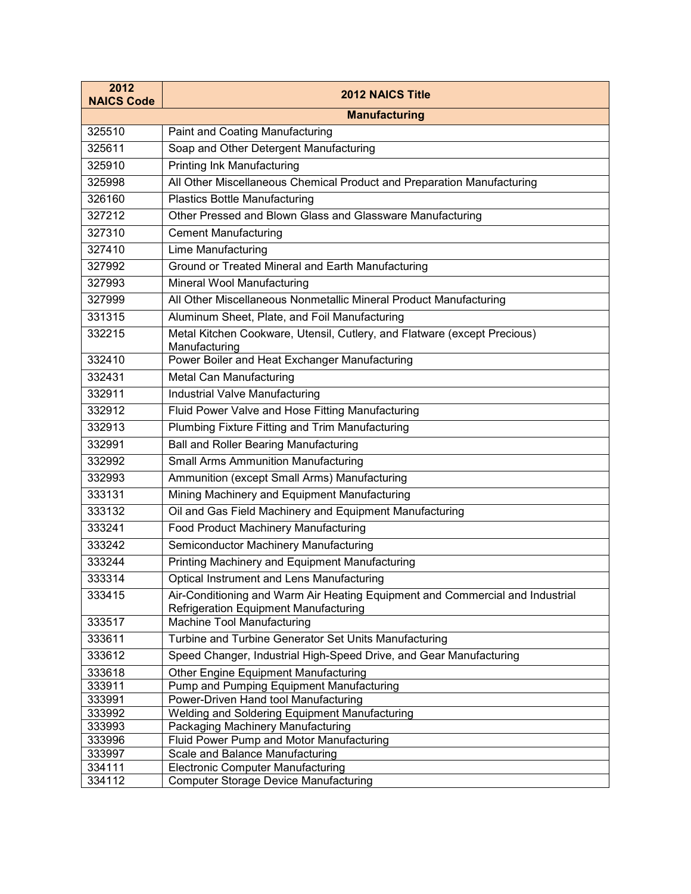| 2012<br><b>NAICS Code</b> | <b>2012 NAICS Title</b>                                                            |
|---------------------------|------------------------------------------------------------------------------------|
|                           | <b>Manufacturing</b>                                                               |
| 325510                    | Paint and Coating Manufacturing                                                    |
| 325611                    | Soap and Other Detergent Manufacturing                                             |
| 325910                    | <b>Printing Ink Manufacturing</b>                                                  |
| 325998                    | All Other Miscellaneous Chemical Product and Preparation Manufacturing             |
| 326160                    | Plastics Bottle Manufacturing                                                      |
| 327212                    | Other Pressed and Blown Glass and Glassware Manufacturing                          |
| 327310                    | <b>Cement Manufacturing</b>                                                        |
| 327410                    | Lime Manufacturing                                                                 |
| 327992                    | Ground or Treated Mineral and Earth Manufacturing                                  |
| 327993                    | Mineral Wool Manufacturing                                                         |
| 327999                    | All Other Miscellaneous Nonmetallic Mineral Product Manufacturing                  |
| 331315                    | Aluminum Sheet, Plate, and Foil Manufacturing                                      |
| 332215                    | Metal Kitchen Cookware, Utensil, Cutlery, and Flatware (except Precious)           |
|                           | Manufacturing                                                                      |
| 332410                    | Power Boiler and Heat Exchanger Manufacturing                                      |
| 332431                    | Metal Can Manufacturing                                                            |
| 332911                    | Industrial Valve Manufacturing                                                     |
| 332912                    | Fluid Power Valve and Hose Fitting Manufacturing                                   |
| 332913                    | Plumbing Fixture Fitting and Trim Manufacturing                                    |
| 332991                    | <b>Ball and Roller Bearing Manufacturing</b>                                       |
| 332992                    | <b>Small Arms Ammunition Manufacturing</b>                                         |
| 332993                    | Ammunition (except Small Arms) Manufacturing                                       |
| 333131                    | Mining Machinery and Equipment Manufacturing                                       |
| 333132                    | Oil and Gas Field Machinery and Equipment Manufacturing                            |
| 333241                    | Food Product Machinery Manufacturing                                               |
| 333242                    | Semiconductor Machinery Manufacturing                                              |
| 333244                    | Printing Machinery and Equipment Manufacturing                                     |
| 333314                    | Optical Instrument and Lens Manufacturing                                          |
| 333415                    | Air-Conditioning and Warm Air Heating Equipment and Commercial and Industrial      |
|                           | <b>Refrigeration Equipment Manufacturing</b>                                       |
| 333517                    | Machine Tool Manufacturing                                                         |
| 333611                    | Turbine and Turbine Generator Set Units Manufacturing                              |
| 333612                    | Speed Changer, Industrial High-Speed Drive, and Gear Manufacturing                 |
| 333618                    | Other Engine Equipment Manufacturing                                               |
| 333911                    | Pump and Pumping Equipment Manufacturing                                           |
| 333991                    | Power-Driven Hand tool Manufacturing                                               |
| 333992<br>333993          | Welding and Soldering Equipment Manufacturing<br>Packaging Machinery Manufacturing |
| 333996                    | Fluid Power Pump and Motor Manufacturing                                           |
| 333997                    | Scale and Balance Manufacturing                                                    |
| 334111                    | <b>Electronic Computer Manufacturing</b>                                           |
| 334112                    | <b>Computer Storage Device Manufacturing</b>                                       |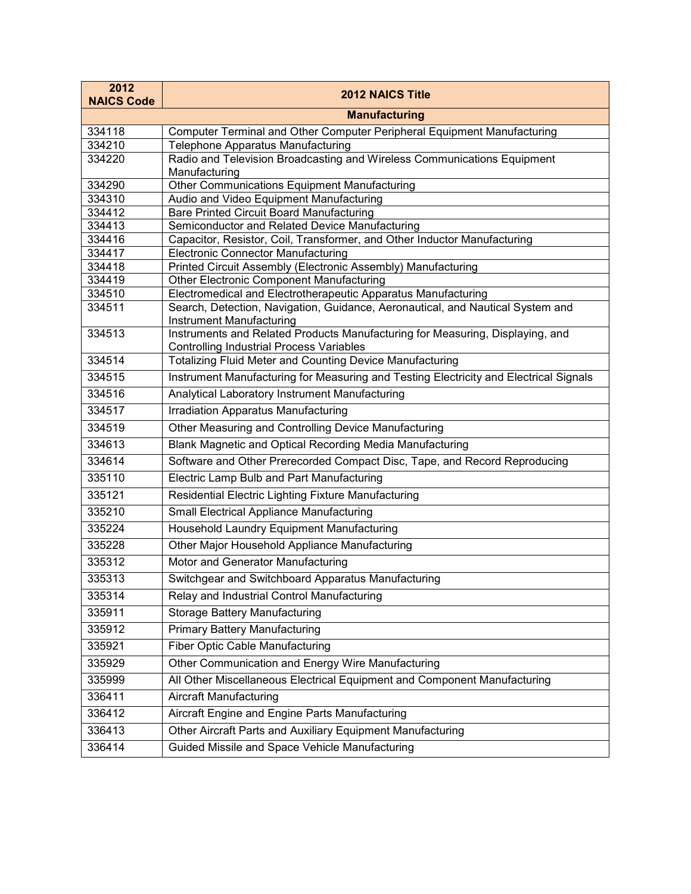| 2012<br><b>NAICS Code</b> | <b>2012 NAICS Title</b>                                                                                                          |
|---------------------------|----------------------------------------------------------------------------------------------------------------------------------|
|                           | <b>Manufacturing</b>                                                                                                             |
| 334118                    | Computer Terminal and Other Computer Peripheral Equipment Manufacturing                                                          |
| 334210                    | Telephone Apparatus Manufacturing                                                                                                |
| 334220                    | Radio and Television Broadcasting and Wireless Communications Equipment<br>Manufacturing                                         |
| 334290                    | Other Communications Equipment Manufacturing                                                                                     |
| 334310                    | Audio and Video Equipment Manufacturing                                                                                          |
| 334412                    | <b>Bare Printed Circuit Board Manufacturing</b>                                                                                  |
| 334413                    | Semiconductor and Related Device Manufacturing                                                                                   |
| 334416                    | Capacitor, Resistor, Coil, Transformer, and Other Inductor Manufacturing                                                         |
| 334417<br>334418          | <b>Electronic Connector Manufacturing</b><br>Printed Circuit Assembly (Electronic Assembly) Manufacturing                        |
| 334419                    | <b>Other Electronic Component Manufacturing</b>                                                                                  |
| 334510                    | Electromedical and Electrotherapeutic Apparatus Manufacturing                                                                    |
| 334511                    | Search, Detection, Navigation, Guidance, Aeronautical, and Nautical System and<br><b>Instrument Manufacturing</b>                |
| 334513                    | Instruments and Related Products Manufacturing for Measuring, Displaying, and<br><b>Controlling Industrial Process Variables</b> |
| 334514                    | <b>Totalizing Fluid Meter and Counting Device Manufacturing</b>                                                                  |
| 334515                    | Instrument Manufacturing for Measuring and Testing Electricity and Electrical Signals                                            |
| 334516                    | Analytical Laboratory Instrument Manufacturing                                                                                   |
| 334517                    | <b>Irradiation Apparatus Manufacturing</b>                                                                                       |
| 334519                    | Other Measuring and Controlling Device Manufacturing                                                                             |
| 334613                    | Blank Magnetic and Optical Recording Media Manufacturing                                                                         |
| 334614                    | Software and Other Prerecorded Compact Disc, Tape, and Record Reproducing                                                        |
| 335110                    | Electric Lamp Bulb and Part Manufacturing                                                                                        |
| 335121                    | Residential Electric Lighting Fixture Manufacturing                                                                              |
| 335210                    | <b>Small Electrical Appliance Manufacturing</b>                                                                                  |
| 335224                    | Household Laundry Equipment Manufacturing                                                                                        |
| 335228                    | Other Major Household Appliance Manufacturing                                                                                    |
| 335312                    | Motor and Generator Manufacturing                                                                                                |
| 335313                    | Switchgear and Switchboard Apparatus Manufacturing                                                                               |
| 335314                    | Relay and Industrial Control Manufacturing                                                                                       |
| 335911                    | <b>Storage Battery Manufacturing</b>                                                                                             |
| 335912                    | <b>Primary Battery Manufacturing</b>                                                                                             |
| 335921                    | <b>Fiber Optic Cable Manufacturing</b>                                                                                           |
| 335929                    | Other Communication and Energy Wire Manufacturing                                                                                |
| 335999                    | All Other Miscellaneous Electrical Equipment and Component Manufacturing                                                         |
| 336411                    | <b>Aircraft Manufacturing</b>                                                                                                    |
| 336412                    | Aircraft Engine and Engine Parts Manufacturing                                                                                   |
| 336413                    | Other Aircraft Parts and Auxiliary Equipment Manufacturing                                                                       |
| 336414                    | Guided Missile and Space Vehicle Manufacturing                                                                                   |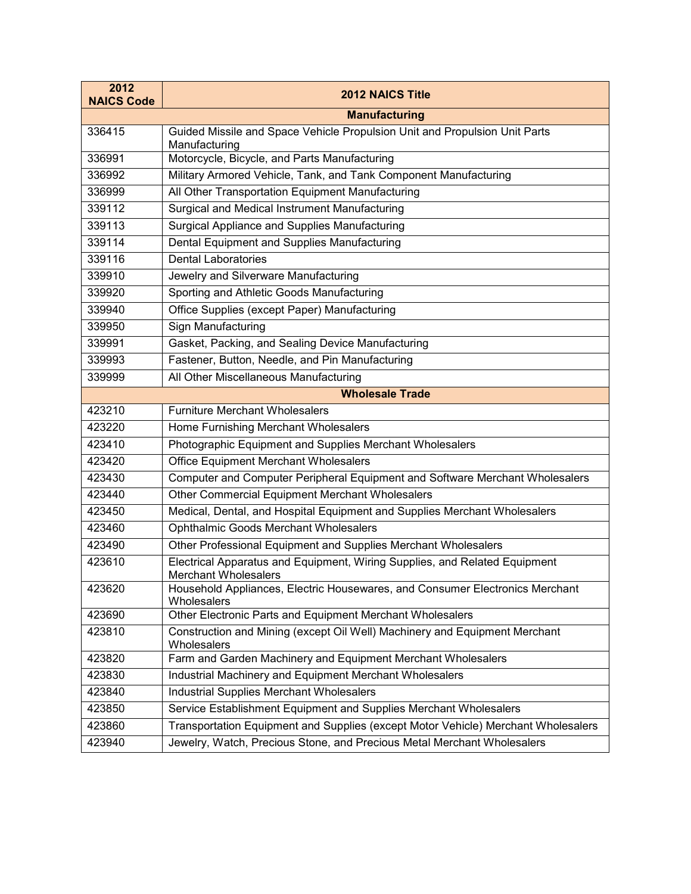| 2012<br><b>NAICS Code</b> | <b>2012 NAICS Title</b>                                                                            |
|---------------------------|----------------------------------------------------------------------------------------------------|
|                           | <b>Manufacturing</b>                                                                               |
| 336415                    | Guided Missile and Space Vehicle Propulsion Unit and Propulsion Unit Parts<br>Manufacturing        |
| 336991                    | Motorcycle, Bicycle, and Parts Manufacturing                                                       |
| 336992                    | Military Armored Vehicle, Tank, and Tank Component Manufacturing                                   |
| 336999                    | All Other Transportation Equipment Manufacturing                                                   |
| 339112                    | Surgical and Medical Instrument Manufacturing                                                      |
| 339113                    | Surgical Appliance and Supplies Manufacturing                                                      |
| 339114                    | Dental Equipment and Supplies Manufacturing                                                        |
| 339116                    | <b>Dental Laboratories</b>                                                                         |
| 339910                    | Jewelry and Silverware Manufacturing                                                               |
| 339920                    | Sporting and Athletic Goods Manufacturing                                                          |
| 339940                    | Office Supplies (except Paper) Manufacturing                                                       |
| 339950                    | Sign Manufacturing                                                                                 |
| 339991                    | Gasket, Packing, and Sealing Device Manufacturing                                                  |
| 339993                    | Fastener, Button, Needle, and Pin Manufacturing                                                    |
| 339999                    | All Other Miscellaneous Manufacturing                                                              |
|                           | <b>Wholesale Trade</b>                                                                             |
| 423210                    | <b>Furniture Merchant Wholesalers</b>                                                              |
| 423220                    | Home Furnishing Merchant Wholesalers                                                               |
| 423410                    | Photographic Equipment and Supplies Merchant Wholesalers                                           |
| 423420                    | Office Equipment Merchant Wholesalers                                                              |
| 423430                    | Computer and Computer Peripheral Equipment and Software Merchant Wholesalers                       |
| 423440                    | Other Commercial Equipment Merchant Wholesalers                                                    |
| 423450                    | Medical, Dental, and Hospital Equipment and Supplies Merchant Wholesalers                          |
| 423460                    | Ophthalmic Goods Merchant Wholesalers                                                              |
| 423490                    | Other Professional Equipment and Supplies Merchant Wholesalers                                     |
| 423610                    | Electrical Apparatus and Equipment, Wiring Supplies, and Related Equipment<br>Merchant Wholesalers |
| 423620                    | Household Appliances, Electric Housewares, and Consumer Electronics Merchant<br>Wholesalers        |
| 423690                    | Other Electronic Parts and Equipment Merchant Wholesalers                                          |
| 423810                    | Construction and Mining (except Oil Well) Machinery and Equipment Merchant<br>Wholesalers          |
| 423820                    | Farm and Garden Machinery and Equipment Merchant Wholesalers                                       |
| 423830                    | Industrial Machinery and Equipment Merchant Wholesalers                                            |
| 423840                    | <b>Industrial Supplies Merchant Wholesalers</b>                                                    |
| 423850                    | Service Establishment Equipment and Supplies Merchant Wholesalers                                  |
| 423860                    | Transportation Equipment and Supplies (except Motor Vehicle) Merchant Wholesalers                  |
| 423940                    | Jewelry, Watch, Precious Stone, and Precious Metal Merchant Wholesalers                            |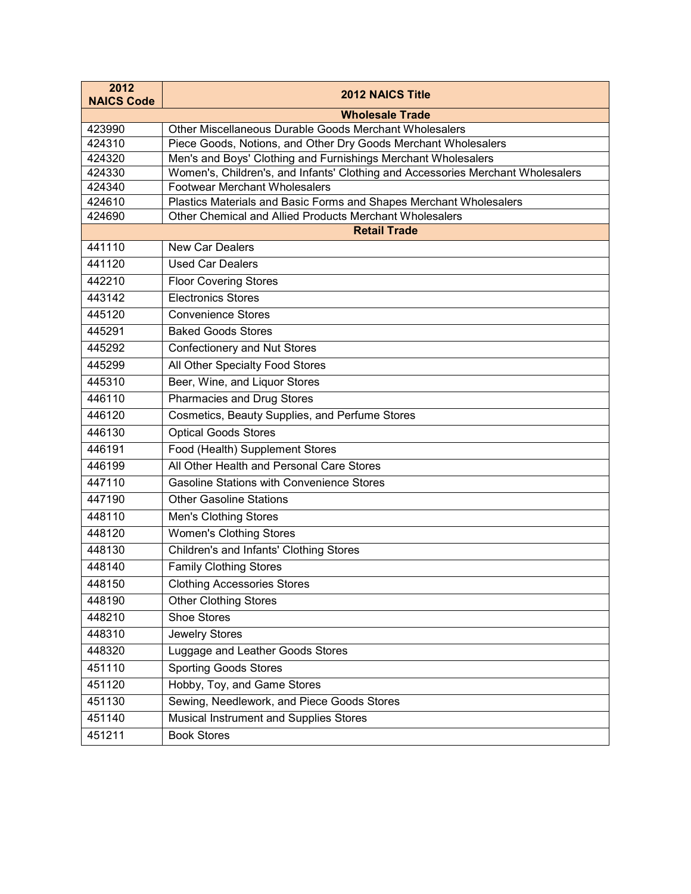| 2012<br><b>NAICS Code</b> | <b>2012 NAICS Title</b>                                                                                                       |
|---------------------------|-------------------------------------------------------------------------------------------------------------------------------|
|                           | <b>Wholesale Trade</b>                                                                                                        |
| 423990                    | Other Miscellaneous Durable Goods Merchant Wholesalers                                                                        |
| 424310                    | Piece Goods, Notions, and Other Dry Goods Merchant Wholesalers                                                                |
| 424320                    | Men's and Boys' Clothing and Furnishings Merchant Wholesalers                                                                 |
| 424330                    | Women's, Children's, and Infants' Clothing and Accessories Merchant Wholesalers                                               |
| 424340                    | <b>Footwear Merchant Wholesalers</b>                                                                                          |
| 424610<br>424690          | Plastics Materials and Basic Forms and Shapes Merchant Wholesalers<br>Other Chemical and Allied Products Merchant Wholesalers |
|                           | <b>Retail Trade</b>                                                                                                           |
| 441110                    | <b>New Car Dealers</b>                                                                                                        |
| 441120                    | <b>Used Car Dealers</b>                                                                                                       |
|                           |                                                                                                                               |
| 442210                    | <b>Floor Covering Stores</b>                                                                                                  |
| 443142                    | <b>Electronics Stores</b>                                                                                                     |
| 445120                    | <b>Convenience Stores</b>                                                                                                     |
| 445291                    | <b>Baked Goods Stores</b>                                                                                                     |
| 445292                    | <b>Confectionery and Nut Stores</b>                                                                                           |
| 445299                    | All Other Specialty Food Stores                                                                                               |
| 445310                    | Beer, Wine, and Liquor Stores                                                                                                 |
| 446110                    | <b>Pharmacies and Drug Stores</b>                                                                                             |
| 446120                    | Cosmetics, Beauty Supplies, and Perfume Stores                                                                                |
| 446130                    | <b>Optical Goods Stores</b>                                                                                                   |
| 446191                    | Food (Health) Supplement Stores                                                                                               |
| 446199                    | All Other Health and Personal Care Stores                                                                                     |
| 447110                    | <b>Gasoline Stations with Convenience Stores</b>                                                                              |
| 447190                    | <b>Other Gasoline Stations</b>                                                                                                |
| 448110                    | <b>Men's Clothing Stores</b>                                                                                                  |
| 448120                    | <b>Women's Clothing Stores</b>                                                                                                |
| 448130                    | Children's and Infants' Clothing Stores                                                                                       |
| 448140                    | <b>Family Clothing Stores</b>                                                                                                 |
| 448150                    | <b>Clothing Accessories Stores</b>                                                                                            |
| 448190                    | <b>Other Clothing Stores</b>                                                                                                  |
| 448210                    | <b>Shoe Stores</b>                                                                                                            |
| 448310                    | Jewelry Stores                                                                                                                |
| 448320                    | Luggage and Leather Goods Stores                                                                                              |
| 451110                    | <b>Sporting Goods Stores</b>                                                                                                  |
| 451120                    | Hobby, Toy, and Game Stores                                                                                                   |
| 451130                    | Sewing, Needlework, and Piece Goods Stores                                                                                    |
| 451140                    | Musical Instrument and Supplies Stores                                                                                        |
| 451211                    | <b>Book Stores</b>                                                                                                            |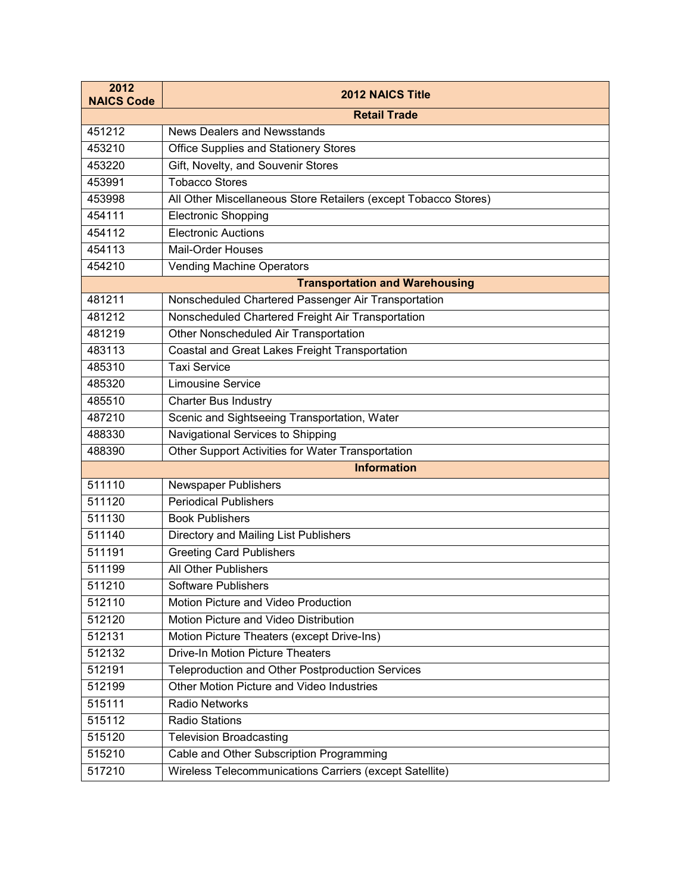| 2012<br><b>NAICS Code</b> | <b>2012 NAICS Title</b>                                         |
|---------------------------|-----------------------------------------------------------------|
|                           | <b>Retail Trade</b>                                             |
| 451212                    | <b>News Dealers and Newsstands</b>                              |
| 453210                    | <b>Office Supplies and Stationery Stores</b>                    |
| 453220                    | Gift, Novelty, and Souvenir Stores                              |
| 453991                    | <b>Tobacco Stores</b>                                           |
| 453998                    | All Other Miscellaneous Store Retailers (except Tobacco Stores) |
| 454111                    | <b>Electronic Shopping</b>                                      |
| 454112                    | <b>Electronic Auctions</b>                                      |
| 454113                    | Mail-Order Houses                                               |
| 454210                    | <b>Vending Machine Operators</b>                                |
|                           | <b>Transportation and Warehousing</b>                           |
| 481211                    | Nonscheduled Chartered Passenger Air Transportation             |
| 481212                    | Nonscheduled Chartered Freight Air Transportation               |
| 481219                    | Other Nonscheduled Air Transportation                           |
| 483113                    | <b>Coastal and Great Lakes Freight Transportation</b>           |
| 485310                    | <b>Taxi Service</b>                                             |
| 485320                    | <b>Limousine Service</b>                                        |
| 485510                    | <b>Charter Bus Industry</b>                                     |
| 487210                    | Scenic and Sightseeing Transportation, Water                    |
| 488330                    | Navigational Services to Shipping                               |
| 488390                    | Other Support Activities for Water Transportation               |
|                           | <b>Information</b>                                              |
| 511110                    | Newspaper Publishers                                            |
| 511120                    | <b>Periodical Publishers</b>                                    |
| 511130                    | <b>Book Publishers</b>                                          |
| 511140                    | Directory and Mailing List Publishers                           |
| 511191                    | <b>Greeting Card Publishers</b>                                 |
| 511199                    | All Other Publishers                                            |
| 511210                    | Software Publishers                                             |
| 512110                    | Motion Picture and Video Production                             |
| 512120                    | Motion Picture and Video Distribution                           |
| 512131                    | Motion Picture Theaters (except Drive-Ins)                      |
| 512132                    | <b>Drive-In Motion Picture Theaters</b>                         |
| 512191                    | Teleproduction and Other Postproduction Services                |
| 512199                    | Other Motion Picture and Video Industries                       |
| 515111                    | <b>Radio Networks</b>                                           |
| 515112                    | <b>Radio Stations</b>                                           |
| 515120                    | <b>Television Broadcasting</b>                                  |
| 515210                    | Cable and Other Subscription Programming                        |
| 517210                    | Wireless Telecommunications Carriers (except Satellite)         |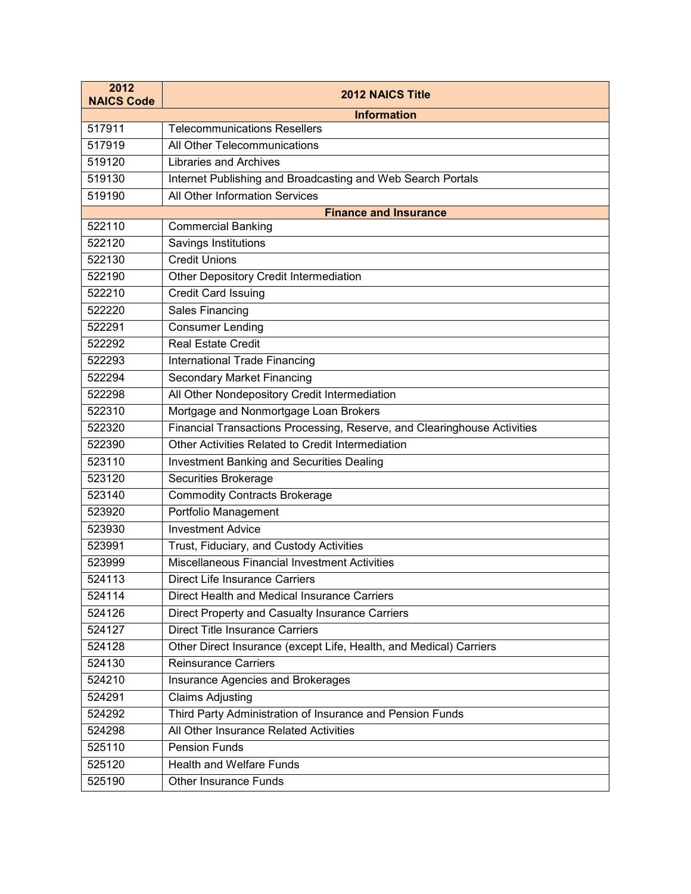| 2012<br><b>NAICS Code</b> | 2012 NAICS Title                                                         |
|---------------------------|--------------------------------------------------------------------------|
|                           | <b>Information</b>                                                       |
| 517911                    | <b>Telecommunications Resellers</b>                                      |
| 517919                    | All Other Telecommunications                                             |
| 519120                    | <b>Libraries and Archives</b>                                            |
| 519130                    | Internet Publishing and Broadcasting and Web Search Portals              |
| 519190                    | <b>All Other Information Services</b>                                    |
|                           | <b>Finance and Insurance</b>                                             |
| 522110                    | <b>Commercial Banking</b>                                                |
| 522120                    | <b>Savings Institutions</b>                                              |
| 522130                    | <b>Credit Unions</b>                                                     |
| 522190                    | Other Depository Credit Intermediation                                   |
| 522210                    | <b>Credit Card Issuing</b>                                               |
| 522220                    | <b>Sales Financing</b>                                                   |
| 522291                    | <b>Consumer Lending</b>                                                  |
| 522292                    | <b>Real Estate Credit</b>                                                |
| 522293                    | <b>International Trade Financing</b>                                     |
| 522294                    | <b>Secondary Market Financing</b>                                        |
| 522298                    | All Other Nondepository Credit Intermediation                            |
| 522310                    | Mortgage and Nonmortgage Loan Brokers                                    |
| 522320                    | Financial Transactions Processing, Reserve, and Clearinghouse Activities |
| 522390                    | Other Activities Related to Credit Intermediation                        |
| 523110                    | <b>Investment Banking and Securities Dealing</b>                         |
| 523120                    | Securities Brokerage                                                     |
| 523140                    | <b>Commodity Contracts Brokerage</b>                                     |
| 523920                    | Portfolio Management                                                     |
| 523930                    | <b>Investment Advice</b>                                                 |
| 523991                    | Trust, Fiduciary, and Custody Activities                                 |
| 523999                    | Miscellaneous Financial Investment Activities                            |
| 524113                    | <b>Direct Life Insurance Carriers</b>                                    |
| 524114                    | Direct Health and Medical Insurance Carriers                             |
| 524126                    | Direct Property and Casualty Insurance Carriers                          |
| 524127                    | <b>Direct Title Insurance Carriers</b>                                   |
| 524128                    | Other Direct Insurance (except Life, Health, and Medical) Carriers       |
| 524130                    | <b>Reinsurance Carriers</b>                                              |
| 524210                    | Insurance Agencies and Brokerages                                        |
| 524291                    | <b>Claims Adjusting</b>                                                  |
| 524292                    | Third Party Administration of Insurance and Pension Funds                |
| 524298                    | All Other Insurance Related Activities                                   |
| 525110                    | <b>Pension Funds</b>                                                     |
| 525120                    | <b>Health and Welfare Funds</b>                                          |
| 525190                    | <b>Other Insurance Funds</b>                                             |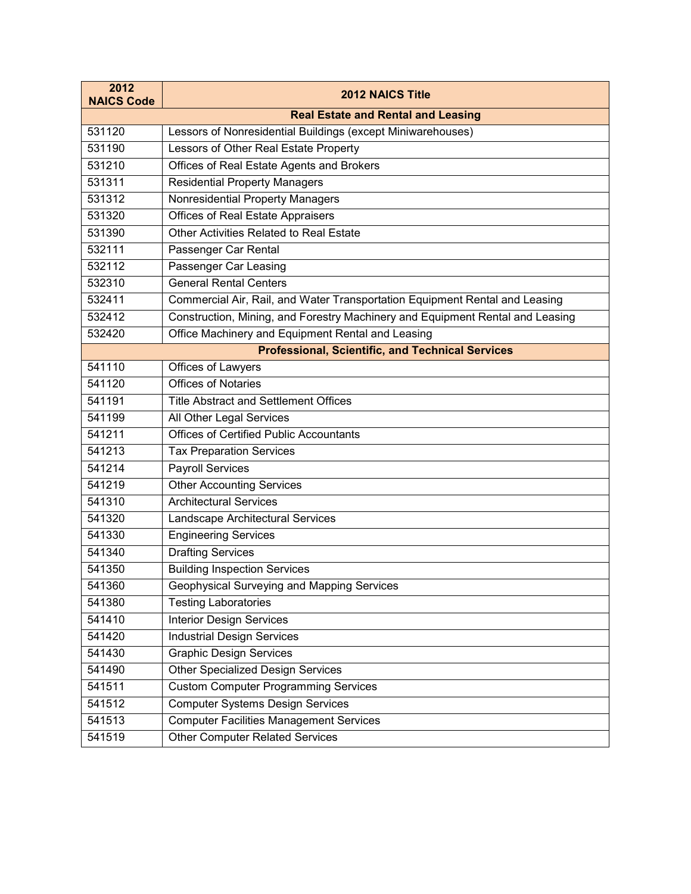| 2012<br><b>NAICS Code</b> | <b>2012 NAICS Title</b>                                                       |
|---------------------------|-------------------------------------------------------------------------------|
|                           | <b>Real Estate and Rental and Leasing</b>                                     |
| 531120                    | Lessors of Nonresidential Buildings (except Miniwarehouses)                   |
| 531190                    | Lessors of Other Real Estate Property                                         |
| 531210                    | Offices of Real Estate Agents and Brokers                                     |
| 531311                    | <b>Residential Property Managers</b>                                          |
| 531312                    | Nonresidential Property Managers                                              |
| 531320                    | <b>Offices of Real Estate Appraisers</b>                                      |
| 531390                    | Other Activities Related to Real Estate                                       |
| 532111                    | Passenger Car Rental                                                          |
| 532112                    | Passenger Car Leasing                                                         |
| 532310                    | <b>General Rental Centers</b>                                                 |
| 532411                    | Commercial Air, Rail, and Water Transportation Equipment Rental and Leasing   |
| 532412                    | Construction, Mining, and Forestry Machinery and Equipment Rental and Leasing |
| 532420                    | Office Machinery and Equipment Rental and Leasing                             |
|                           | <b>Professional, Scientific, and Technical Services</b>                       |
| 541110                    | Offices of Lawyers                                                            |
| 541120                    | <b>Offices of Notaries</b>                                                    |
| 541191                    | <b>Title Abstract and Settlement Offices</b>                                  |
| 541199                    | All Other Legal Services                                                      |
| 541211                    | <b>Offices of Certified Public Accountants</b>                                |
| 541213                    | <b>Tax Preparation Services</b>                                               |
| 541214                    | Payroll Services                                                              |
| 541219                    | <b>Other Accounting Services</b>                                              |
| 541310                    | <b>Architectural Services</b>                                                 |
| 541320                    | Landscape Architectural Services                                              |
| 541330                    | <b>Engineering Services</b>                                                   |
| 541340                    | <b>Drafting Services</b>                                                      |
| 541350                    | <b>Building Inspection Services</b>                                           |
| 541360                    | Geophysical Surveying and Mapping Services                                    |
| 541380                    | <b>Testing Laboratories</b>                                                   |
| 541410                    | <b>Interior Design Services</b>                                               |
| 541420                    | <b>Industrial Design Services</b>                                             |
| 541430                    | <b>Graphic Design Services</b>                                                |
| 541490                    | <b>Other Specialized Design Services</b>                                      |
| 541511                    | <b>Custom Computer Programming Services</b>                                   |
| 541512                    | <b>Computer Systems Design Services</b>                                       |
| 541513                    | <b>Computer Facilities Management Services</b>                                |
| 541519                    | <b>Other Computer Related Services</b>                                        |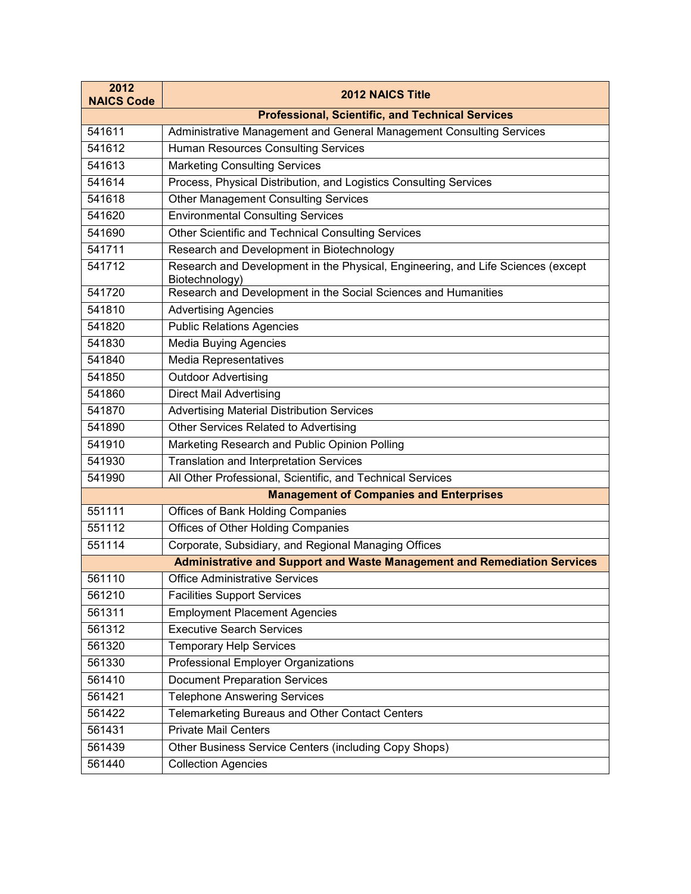| 2012<br><b>NAICS Code</b> | <b>2012 NAICS Title</b>                                                                            |
|---------------------------|----------------------------------------------------------------------------------------------------|
|                           | <b>Professional, Scientific, and Technical Services</b>                                            |
| 541611                    | Administrative Management and General Management Consulting Services                               |
| 541612                    | <b>Human Resources Consulting Services</b>                                                         |
| 541613                    | <b>Marketing Consulting Services</b>                                                               |
| 541614                    | Process, Physical Distribution, and Logistics Consulting Services                                  |
| 541618                    | Other Management Consulting Services                                                               |
| 541620                    | <b>Environmental Consulting Services</b>                                                           |
| 541690                    | Other Scientific and Technical Consulting Services                                                 |
| 541711                    | Research and Development in Biotechnology                                                          |
| 541712                    | Research and Development in the Physical, Engineering, and Life Sciences (except<br>Biotechnology) |
| 541720                    | Research and Development in the Social Sciences and Humanities                                     |
| 541810                    | <b>Advertising Agencies</b>                                                                        |
| 541820                    | <b>Public Relations Agencies</b>                                                                   |
| 541830                    | <b>Media Buying Agencies</b>                                                                       |
| 541840                    | Media Representatives                                                                              |
| 541850                    | Outdoor Advertising                                                                                |
| 541860                    | <b>Direct Mail Advertising</b>                                                                     |
| 541870                    | <b>Advertising Material Distribution Services</b>                                                  |
| 541890                    | Other Services Related to Advertising                                                              |
| 541910                    | Marketing Research and Public Opinion Polling                                                      |
| 541930                    | <b>Translation and Interpretation Services</b>                                                     |
| 541990                    | All Other Professional, Scientific, and Technical Services                                         |
|                           | <b>Management of Companies and Enterprises</b>                                                     |
| 551111                    | Offices of Bank Holding Companies                                                                  |
| 551112                    | <b>Offices of Other Holding Companies</b>                                                          |
| 551114                    | Corporate, Subsidiary, and Regional Managing Offices                                               |
|                           | Administrative and Support and Waste Management and Remediation Services                           |
| 561110                    | <b>Office Administrative Services</b>                                                              |
| 561210                    | <b>Facilities Support Services</b>                                                                 |
| 561311                    | <b>Employment Placement Agencies</b>                                                               |
| 561312                    | <b>Executive Search Services</b>                                                                   |
| 561320                    | <b>Temporary Help Services</b>                                                                     |
| 561330                    | Professional Employer Organizations                                                                |
| 561410                    | <b>Document Preparation Services</b>                                                               |
| 561421                    | <b>Telephone Answering Services</b>                                                                |
| 561422                    | Telemarketing Bureaus and Other Contact Centers                                                    |
| 561431                    | <b>Private Mail Centers</b>                                                                        |
| 561439                    | Other Business Service Centers (including Copy Shops)                                              |
| 561440                    | <b>Collection Agencies</b>                                                                         |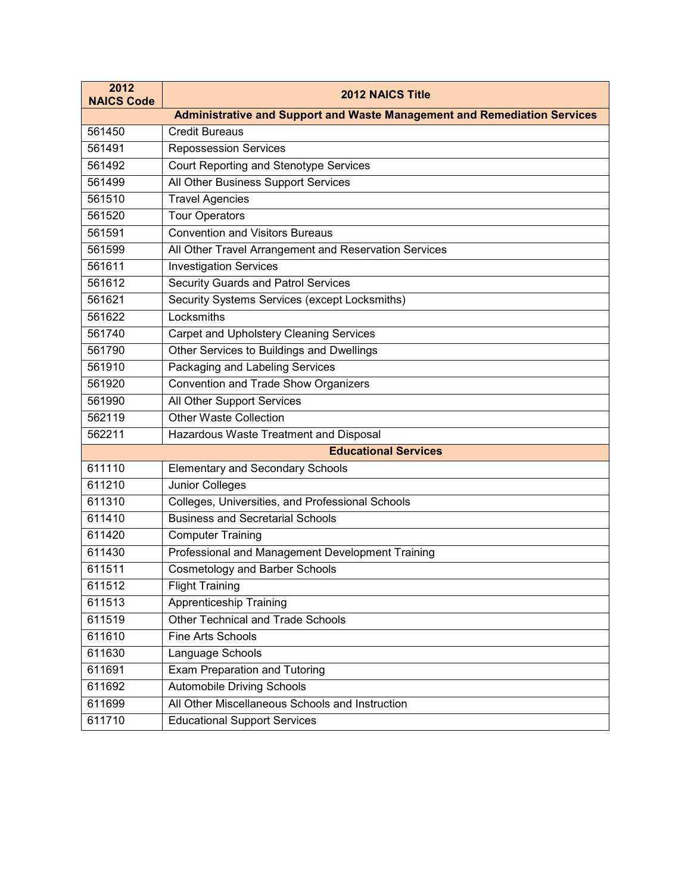| 2012<br><b>NAICS Code</b> | <b>2012 NAICS Title</b>                                                         |
|---------------------------|---------------------------------------------------------------------------------|
|                           | <b>Administrative and Support and Waste Management and Remediation Services</b> |
| 561450                    | <b>Credit Bureaus</b>                                                           |
| 561491                    | <b>Repossession Services</b>                                                    |
| 561492                    | Court Reporting and Stenotype Services                                          |
| 561499                    | All Other Business Support Services                                             |
| 561510                    | <b>Travel Agencies</b>                                                          |
| 561520                    | <b>Tour Operators</b>                                                           |
| 561591                    | <b>Convention and Visitors Bureaus</b>                                          |
| 561599                    | All Other Travel Arrangement and Reservation Services                           |
| 561611                    | <b>Investigation Services</b>                                                   |
| 561612                    | Security Guards and Patrol Services                                             |
| 561621                    | Security Systems Services (except Locksmiths)                                   |
| 561622                    | Locksmiths                                                                      |
| 561740                    | <b>Carpet and Upholstery Cleaning Services</b>                                  |
| 561790                    | Other Services to Buildings and Dwellings                                       |
| 561910                    | Packaging and Labeling Services                                                 |
| 561920                    | <b>Convention and Trade Show Organizers</b>                                     |
| 561990                    | All Other Support Services                                                      |
| 562119                    | <b>Other Waste Collection</b>                                                   |
| 562211                    | Hazardous Waste Treatment and Disposal                                          |
|                           | <b>Educational Services</b>                                                     |
| 611110                    | <b>Elementary and Secondary Schools</b>                                         |
| 611210                    | <b>Junior Colleges</b>                                                          |
| 611310                    | Colleges, Universities, and Professional Schools                                |
| 611410                    | <b>Business and Secretarial Schools</b>                                         |
| 611420                    | <b>Computer Training</b>                                                        |
| 611430                    | Professional and Management Development Training                                |
| 611511                    | <b>Cosmetology and Barber Schools</b>                                           |
| 611512                    | <b>Flight Training</b>                                                          |
| 611513                    | Apprenticeship Training                                                         |
| 611519                    | <b>Other Technical and Trade Schools</b>                                        |
| 611610                    | <b>Fine Arts Schools</b>                                                        |
| 611630                    | Language Schools                                                                |
| 611691                    | <b>Exam Preparation and Tutoring</b>                                            |
| 611692                    | <b>Automobile Driving Schools</b>                                               |
| 611699                    | All Other Miscellaneous Schools and Instruction                                 |
| 611710                    | <b>Educational Support Services</b>                                             |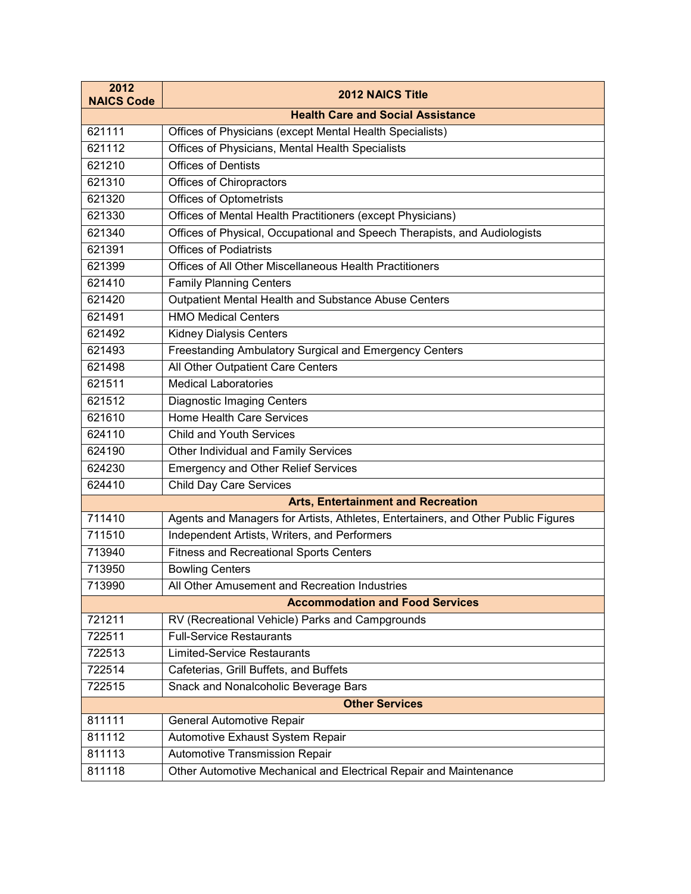| 2012<br><b>NAICS Code</b>              | <b>2012 NAICS Title</b>                                                           |
|----------------------------------------|-----------------------------------------------------------------------------------|
|                                        | <b>Health Care and Social Assistance</b>                                          |
| 621111                                 | Offices of Physicians (except Mental Health Specialists)                          |
| 621112                                 | Offices of Physicians, Mental Health Specialists                                  |
| 621210                                 | <b>Offices of Dentists</b>                                                        |
| 621310                                 | Offices of Chiropractors                                                          |
| 621320                                 | <b>Offices of Optometrists</b>                                                    |
| 621330                                 | Offices of Mental Health Practitioners (except Physicians)                        |
| 621340                                 | Offices of Physical, Occupational and Speech Therapists, and Audiologists         |
| 621391                                 | <b>Offices of Podiatrists</b>                                                     |
| 621399                                 | Offices of All Other Miscellaneous Health Practitioners                           |
| 621410                                 | <b>Family Planning Centers</b>                                                    |
| 621420                                 | Outpatient Mental Health and Substance Abuse Centers                              |
| 621491                                 | <b>HMO Medical Centers</b>                                                        |
| 621492                                 | <b>Kidney Dialysis Centers</b>                                                    |
| 621493                                 | Freestanding Ambulatory Surgical and Emergency Centers                            |
| 621498                                 | All Other Outpatient Care Centers                                                 |
| 621511                                 | <b>Medical Laboratories</b>                                                       |
| 621512                                 | <b>Diagnostic Imaging Centers</b>                                                 |
| 621610                                 | <b>Home Health Care Services</b>                                                  |
| 624110                                 | <b>Child and Youth Services</b>                                                   |
| 624190                                 | Other Individual and Family Services                                              |
| 624230                                 | <b>Emergency and Other Relief Services</b>                                        |
| 624410                                 | <b>Child Day Care Services</b>                                                    |
|                                        | <b>Arts, Entertainment and Recreation</b>                                         |
| 711410                                 | Agents and Managers for Artists, Athletes, Entertainers, and Other Public Figures |
| 711510                                 | Independent Artists, Writers, and Performers                                      |
| 713940                                 | <b>Fitness and Recreational Sports Centers</b>                                    |
| 713950                                 | <b>Bowling Centers</b>                                                            |
| 713990                                 | All Other Amusement and Recreation Industries                                     |
| <b>Accommodation and Food Services</b> |                                                                                   |
| 721211                                 | RV (Recreational Vehicle) Parks and Campgrounds                                   |
| 722511                                 | <b>Full-Service Restaurants</b>                                                   |
| 722513                                 | <b>Limited-Service Restaurants</b>                                                |
| 722514                                 | Cafeterias, Grill Buffets, and Buffets                                            |
| 722515                                 | Snack and Nonalcoholic Beverage Bars                                              |
|                                        | <b>Other Services</b>                                                             |
| 811111                                 | <b>General Automotive Repair</b>                                                  |
| 811112                                 | Automotive Exhaust System Repair                                                  |
| 811113                                 | Automotive Transmission Repair                                                    |
| 811118                                 | Other Automotive Mechanical and Electrical Repair and Maintenance                 |